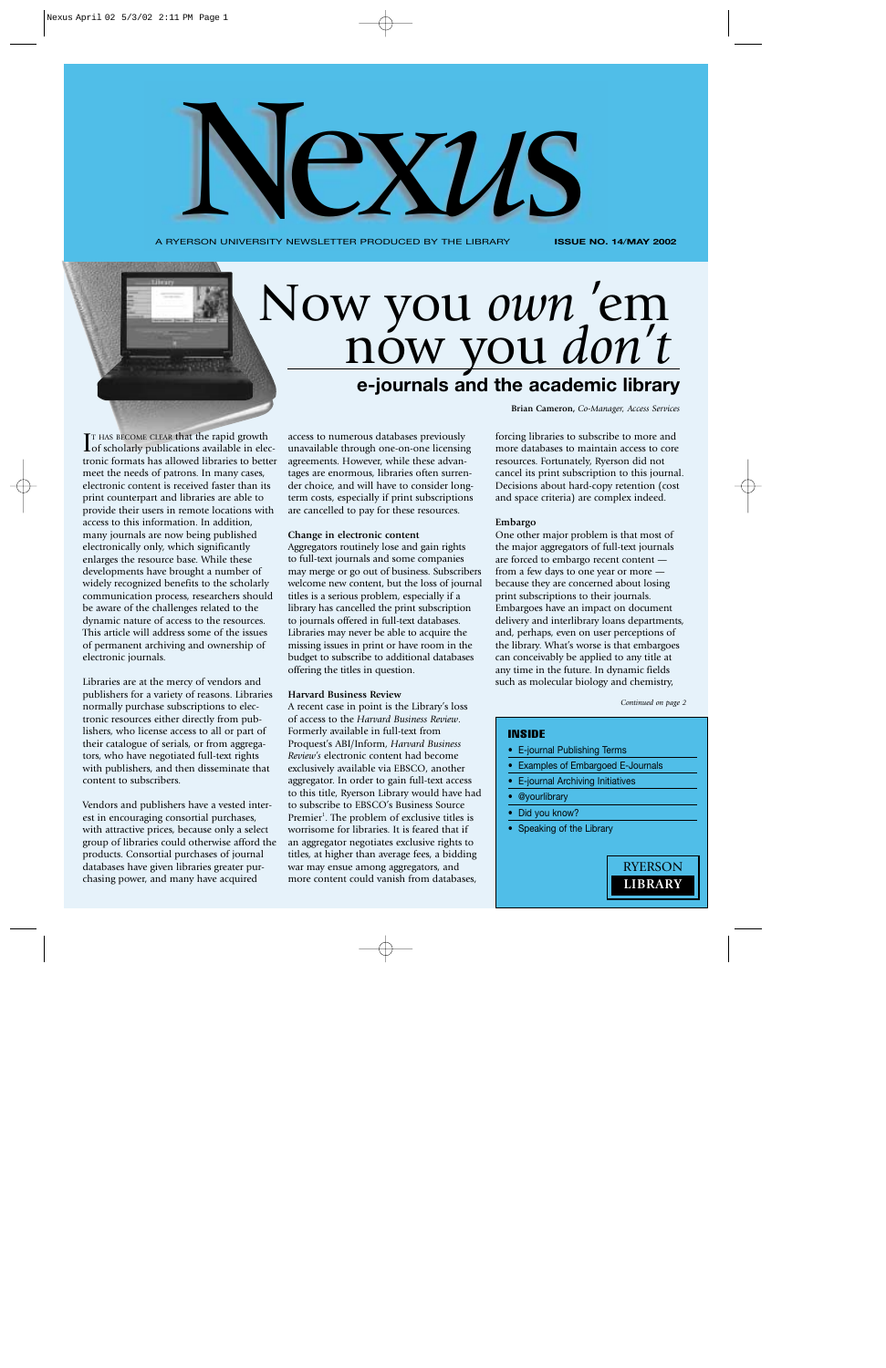A RYERSON UNIVERSITY NEWSLETTER PRODUCED BY THE LIBRARY

**ISSUE NO. 14**/**MAY 2002**

# **e-journals and the academic library** Now you *own* 'em now you *don't*

Nex*u*s

**IT HAS BECOME CLEAR that the rapid growth**<br>**I** of scholarly publications available in ele of scholarly publications available in electronic formats has allowed libraries to better meet the needs of patrons. In many cases, electronic content is received faster than its print counterpart and libraries are able to provide their users in remote locations with access to this information. In addition, many journals are now being published electronically only, which significantly enlarges the resource base. While these developments have brought a number of widely recognized benefits to the scholarly communication process, researchers should be aware of the challenges related to the dynamic nature of access to the resources. This article will address some of the issues of permanent archiving and ownership of electronic journals.

Libraries are at the mercy of vendors and publishers for a variety of reasons. Libraries normally purchase subscriptions to electronic resources either directly from publishers, who license access to all or part of their catalogue of serials, or from aggregators, who have negotiated full-text rights with publishers, and then disseminate that content to subscribers.

Vendors and publishers have a vested interest in encouraging consortial purchases, with attractive prices, because only a select group of libraries could otherwise afford the products. Consortial purchases of journal databases have given libraries greater purchasing power, and many have acquired

access to numerous databases previously unavailable through one-on-one licensing agreements. However, while these advantages are enormous, libraries often surrender choice, and will have to consider longterm costs, especially if print subscriptions are cancelled to pay for these resources.

#### **Change in electronic content**

Aggregators routinely lose and gain rights to full-text journals and some companies may merge or go out of business. Subscribers welcome new content, but the loss of journal titles is a serious problem, especially if a library has cancelled the print subscription to journals offered in full-text databases. Libraries may never be able to acquire the missing issues in print or have room in the budget to subscribe to additional databases offering the titles in question.

#### **Harvard Business Review**

A recent case in point is the Library's loss of access to the *Harvard Business Review*. Formerly available in full-text from Proquest's ABI/Inform, *Harvard Business Review's* electronic content had become exclusively available via EBSCO, another aggregator. In order to gain full-text access to this title, Ryerson Library would have had to subscribe to EBSCO's Business Source Premier<sup>1</sup>. The problem of exclusive titles is worrisome for libraries. It is feared that if an aggregator negotiates exclusive rights to titles, at higher than average fees, a bidding war may ensue among aggregators, and more content could vanish from databases,

**Brian Cameron,** *Co-Manager, Access Services*

forcing libraries to subscribe to more and more databases to maintain access to core resources. Fortunately, Ryerson did not cancel its print subscription to this journal. Decisions about hard-copy retention (cost and space criteria) are complex indeed.

# **Embargo**

One other major problem is that most of the major aggregators of full-text journals are forced to embargo recent content from a few days to one year or more because they are concerned about losing print subscriptions to their journals. Embargoes have an impact on document delivery and interlibrary loans departments, and, perhaps, even on user perceptions of the library. What's worse is that embargoes can conceivably be applied to any title at any time in the future. In dynamic fields such as molecular biology and chemistry,

*Continued on page 2*

## INSIDE

- E-journal Publishing Terms
- Examples of Embargoed E-Journals
- E-journal Archiving Initiatives
- @yourlibrary
- Did you know?
- Speaking of the Library

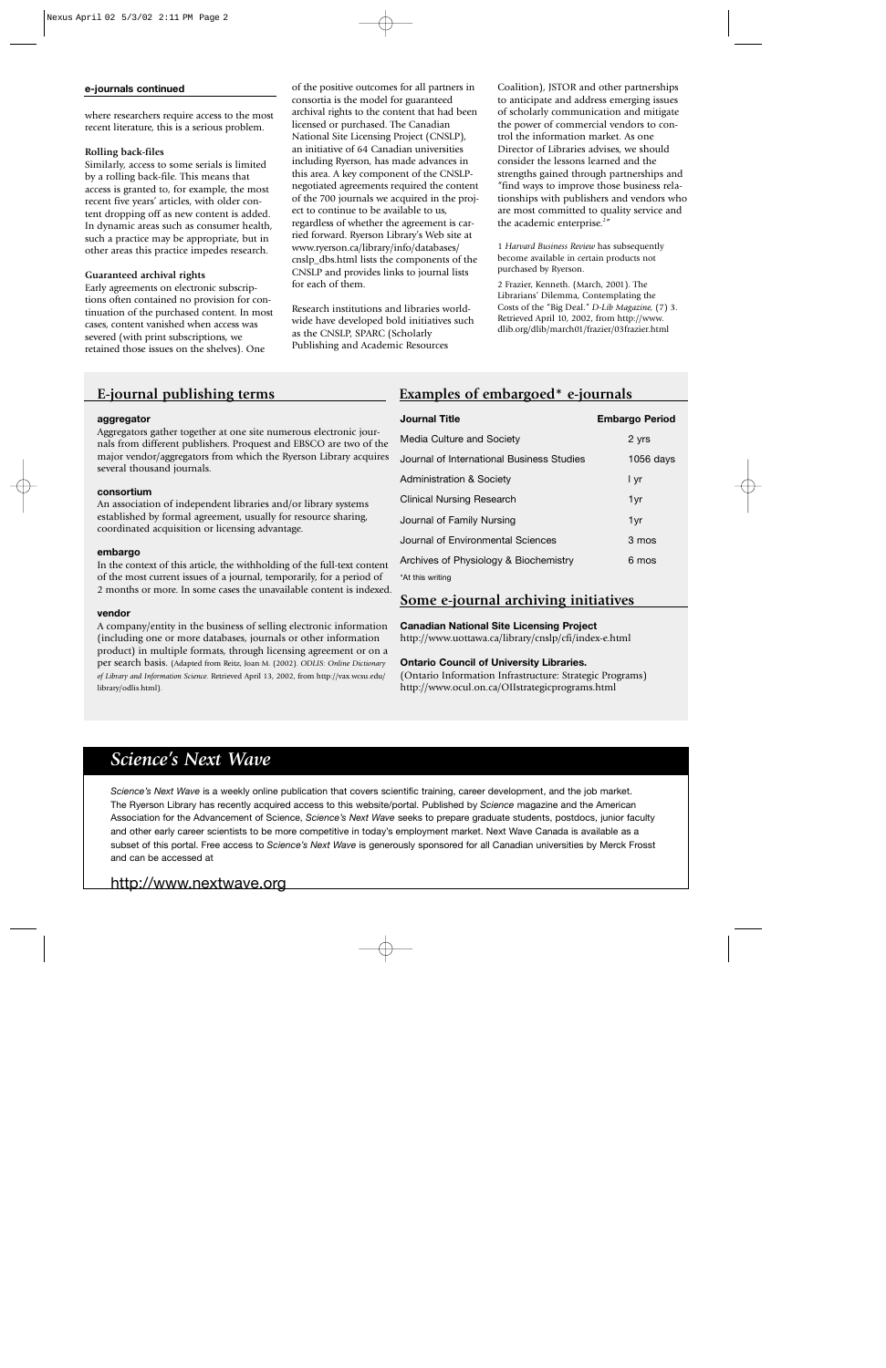### **e-journals continued**

where researchers require access to the most recent literature, this is a serious problem.

# **Rolling back-files**

Similarly, access to some serials is limited by a rolling back-file. This means that access is granted to, for example, the most recent five years' articles, with older content dropping off as new content is added. In dynamic areas such as consumer health, such a practice may be appropriate, but in other areas this practice impedes research.

# **Guaranteed archival rights**

Early agreements on electronic subscriptions often contained no provision for continuation of the purchased content. In most cases, content vanished when access was severed (with print subscriptions, we retained those issues on the shelves). One

of the positive outcomes for all partners in consortia is the model for guaranteed archival rights to the content that had been licensed or purchased. The Canadian National Site Licensing Project (CNSLP), an initiative of 64 Canadian universities including Ryerson, has made advances in this area. A key component of the CNSLPnegotiated agreements required the content of the 700 journals we acquired in the project to continue to be available to us, regardless of whether the agreement is carried forward. Ryerson Library's Web site at www.ryerson.ca/library/info/databases/ cnslp\_dbs.html lists the components of the CNSLP and provides links to journal lists for each of them.

Research institutions and libraries worldwide have developed bold initiatives such as the CNSLP, SPARC (Scholarly Publishing and Academic Resources

Coalition), JSTOR and other partnerships to anticipate and address emerging issues of scholarly communication and mitigate the power of commercial vendors to control the information market. As one Director of Libraries advises, we should consider the lessons learned and the strengths gained through partnerships and "find ways to improve those business relationships with publishers and vendors who are most committed to quality service and the academic enterprise.<sup>2"</sup>

1 *Harvard Business Review* has subsequently become available in certain products not purchased by Ryerson.

2 Frazier, Kenneth. (March, 2001). The Librarians' Dilemma, Contemplating the Costs of the "Big Deal." *D-Lib Magazine,* (7) 3. Retrieved April 10, 2002, from http://www. dlib.org/dlib/march01/frazier/03frazier.html

# **E-journal publishing terms**

#### **aggregator**

Aggregators gather together at one site numerous electronic journals from different publishers. Proquest and EBSCO are two of the major vendor/aggregators from which the Ryerson Library acquires several thousand journals.

## **consortium**

An association of independent libraries and/or library systems established by formal agreement, usually for resource sharing, coordinated acquisition or licensing advantage.

#### **embargo**

In the context of this article, the withholding of the full-text content of the most current issues of a journal, temporarily, for a period of 2 months or more. In some cases the unavailable content is indexed.

#### **vendor**

A company/entity in the business of selling electronic information (including one or more databases, journals or other information product) in multiple formats, through licensing agreement or on a per search basis. (Adapted from Reitz, Joan M. (2002). *ODLIS: Online Dictionary of Library and Information Science*. Retrieved April 13, 2002, from http://vax.wcsu.edu/ library/odlis.html).

# **Examples of embargoed\* e-journals**

| <b>Journal Title</b>                      | <b>Embargo Period</b> |
|-------------------------------------------|-----------------------|
| Media Culture and Society                 | 2 yrs                 |
| Journal of International Business Studies | 1056 days             |
| <b>Administration &amp; Society</b>       | l yr                  |
| <b>Clinical Nursing Research</b>          | 1yr                   |
| Journal of Family Nursing                 | 1yr                   |
| Journal of Environmental Sciences         | 3 mos                 |
| Archives of Physiology & Biochemistry     | 6 mos                 |
| *At this writing                          |                       |

# **Some e-journal archiving initiatives**

**Canadian National Site Licensing Project**

http://www.uottawa.ca/library/cnslp/cfi/index-e.html

# **Ontario Council of University Libraries.**

(Ontario Information Infrastructure: Strategic Programs) http://www.ocul.on.ca/OIIstrategicprograms.html

# *Science's Next Wave*

*Science's Next Wave* is a weekly online publication that covers scientific training, career development, and the job market. The Ryerson Library has recently acquired access to this website/portal. Published by *Science* magazine and the American Association for the Advancement of Science, *Science's Next Wave* seeks to prepare graduate students, postdocs, junior faculty and other early career scientists to be more competitive in today's employment market. Next Wave Canada is available as a subset of this portal. Free access to *Science's Next Wave* is generously sponsored for all Canadian universities by Merck Frosst and can be accessed at

# http://www.nextwave.org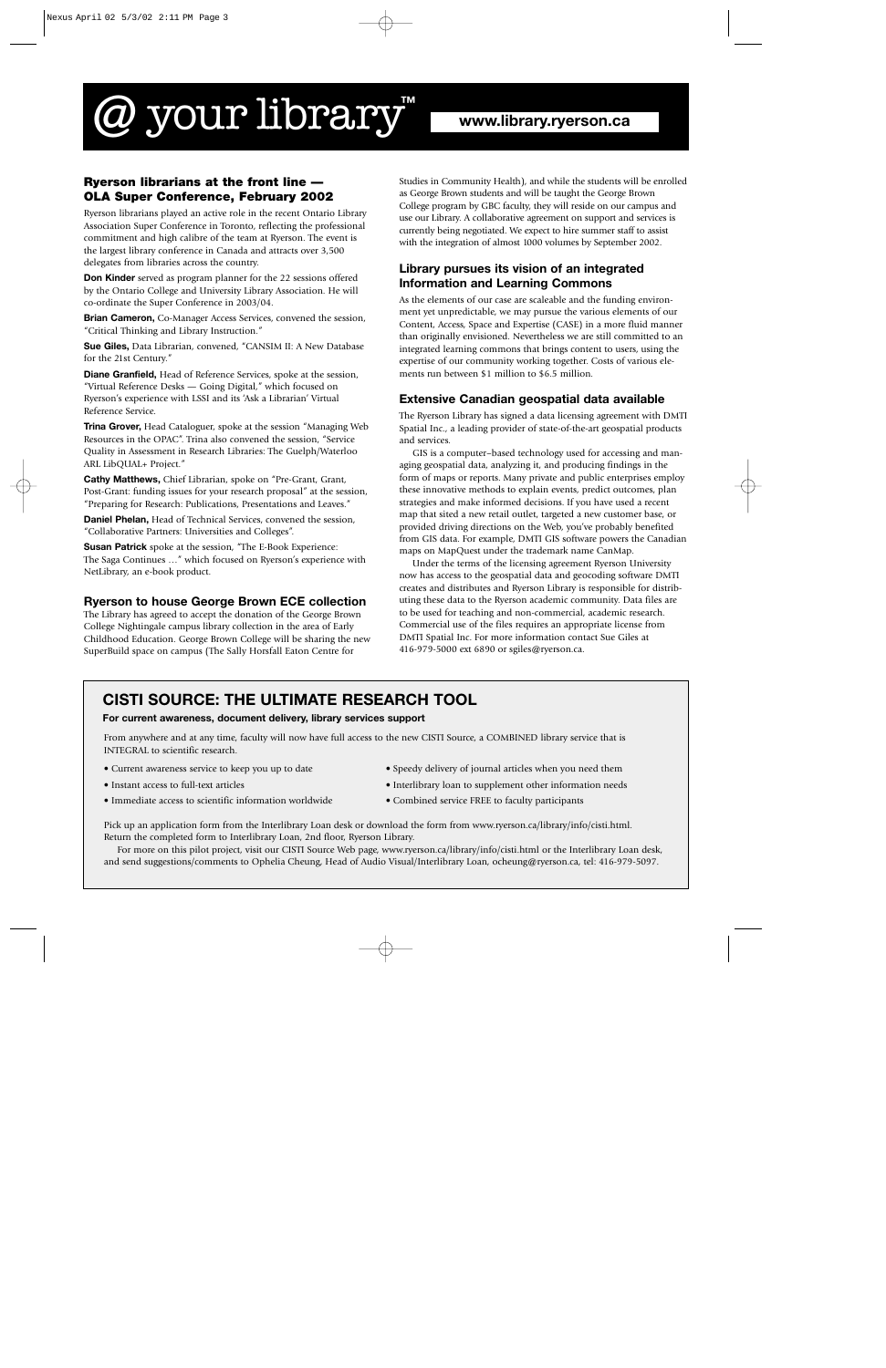# @ your library**™**

# **Ryerson librarians at the front line — OLA Super Conference, February 2002**

Ryerson librarians played an active role in the recent Ontario Library Association Super Conference in Toronto, reflecting the professional commitment and high calibre of the team at Ryerson. The event is the largest library conference in Canada and attracts over 3,500 delegates from libraries across the country.

**Don Kinder** served as program planner for the 22 sessions offered by the Ontario College and University Library Association. He will co-ordinate the Super Conference in 2003/04.

**Brian Cameron,** Co-Manager Access Services, convened the session, "Critical Thinking and Library Instruction."

**Sue Giles,** Data Librarian, convened, "CANSIM II: A New Database for the 21st Century."

**Diane Granfield,** Head of Reference Services, spoke at the session, "Virtual Reference Desks — Going Digital," which focused on Ryerson's experience with LSSI and its 'Ask a Librarian' Virtual Reference Service.

**Trina Grover,** Head Cataloguer, spoke at the session "Managing Web Resources in the OPAC". Trina also convened the session, "Service Quality in Assessment in Research Libraries: The Guelph/Waterloo ARL LibQUAL+ Project."

**Cathy Matthews,** Chief Librarian, spoke on "Pre-Grant, Grant, Post-Grant: funding issues for your research proposal" at the session, "Preparing for Research: Publications, Presentations and Leaves."

**Daniel Phelan,** Head of Technical Services, convened the session, "Collaborative Partners: Universities and Colleges".

**Susan Patrick** spoke at the session, "The E-Book Experience: The Saga Continues …" which focused on Ryerson's experience with NetLibrary, an e-book product.

# **Ryerson to house George Brown ECE collection**

The Library has agreed to accept the donation of the George Brown College Nightingale campus library collection in the area of Early Childhood Education. George Brown College will be sharing the new SuperBuild space on campus (The Sally Horsfall Eaton Centre for

Studies in Community Health), and while the students will be enrolled as George Brown students and will be taught the George Brown College program by GBC faculty, they will reside on our campus and use our Library. A collaborative agreement on support and services is currently being negotiated. We expect to hire summer staff to assist with the integration of almost 1000 volumes by September 2002.

# **Library pursues its vision of an integrated Information and Learning Commons**

As the elements of our case are scaleable and the funding environment yet unpredictable, we may pursue the various elements of our Content, Access, Space and Expertise (CASE) in a more fluid manner than originally envisioned. Nevertheless we are still committed to an integrated learning commons that brings content to users, using the expertise of our community working together. Costs of various elements run between \$1 million to \$6.5 million.

# **Extensive Canadian geospatial data available**

The Ryerson Library has signed a data licensing agreement with DMTI Spatial Inc., a leading provider of state-of-the-art geospatial products and services.

GIS is a computer–based technology used for accessing and managing geospatial data, analyzing it, and producing findings in the form of maps or reports. Many private and public enterprises employ these innovative methods to explain events, predict outcomes, plan strategies and make informed decisions. If you have used a recent map that sited a new retail outlet, targeted a new customer base, or provided driving directions on the Web, you've probably benefited from GIS data. For example, DMTI GIS software powers the Canadian maps on MapQuest under the trademark name CanMap.

Under the terms of the licensing agreement Ryerson University now has access to the geospatial data and geocoding software DMTI creates and distributes and Ryerson Library is responsible for distributing these data to the Ryerson academic community. Data files are to be used for teaching and non-commercial, academic research. Commercial use of the files requires an appropriate license from DMTI Spatial Inc. For more information contact Sue Giles at 416-979-5000 ext 6890 or sgiles@ryerson.ca.

# **CISTI SOURCE: THE ULTIMATE RESEARCH TOOL**

# **For current awareness, document delivery, library services support**

From anywhere and at any time, faculty will now have full access to the new CISTI Source, a COMBINED library service that is INTEGRAL to scientific research.

- 
- 
- Immediate access to scientific information worldwide Combined service FREE to faculty participants
- Current awareness service to keep you up to date Speedy delivery of journal articles when you need them
- Instant access to full-text articles Interlibrary loan to supplement other information needs
	-

Pick up an application form from the Interlibrary Loan desk or download the form from www.ryerson.ca/library/info/cisti.html. Return the completed form to Interlibrary Loan, 2nd floor, Ryerson Library.

For more on this pilot project, visit our CISTI Source Web page, www.ryerson.ca/library/info/cisti.html or the Interlibrary Loan desk, and send suggestions/comments to Ophelia Cheung, Head of Audio Visual/Interlibrary Loan, ocheung@ryerson.ca, tel: 416-979-5097.